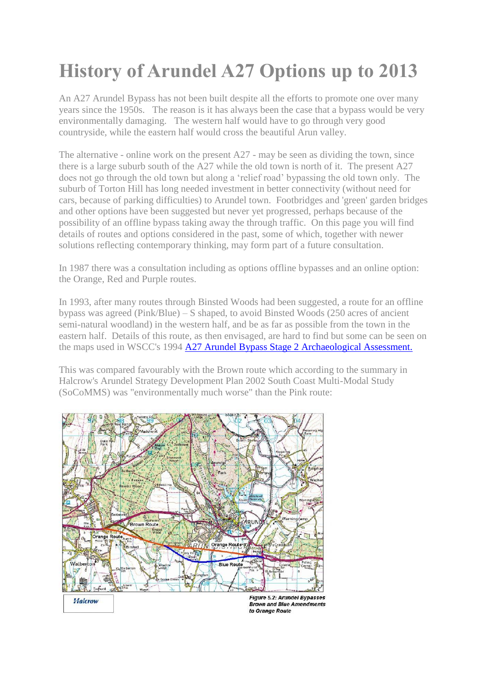## **History of Arundel A27 Options up to 2013**

An A27 Arundel Bypass has not been built despite all the efforts to promote one over many years since the 1950s. The reason is it has always been the case that a bypass would be very environmentally damaging. The western half would have to go through very good countryside, while the eastern half would cross the beautiful Arun valley.

The alternative - online work on the present A27 - may be seen as dividing the town, since there is a large suburb south of the A27 while the old town is north of it. The present A27 does not go through the old town but along a 'relief road' bypassing the old town only. The suburb of Torton Hill has long needed investment in better connectivity (without need for cars, because of parking difficulties) to Arundel town. Footbridges and 'green' garden bridges and other options have been suggested but never yet progressed, perhaps because of the possibility of an offline bypass taking away the through traffic. On this page you will find details of routes and options considered in the past, some of which, together with newer solutions reflecting contemporary thinking, may form part of a future consultation.

In 1987 there was a consultation including as options offline bypasses and an online option: the Orange, Red and Purple routes.

In 1993, after many routes through Binsted Woods had been suggested, a route for an offline bypass was agreed (Pink/Blue) – S shaped, to avoid Binsted Woods (250 acres of ancient semi-natural woodland) in the western half, and be as far as possible from the town in the eastern half. Details of this route, as then envisaged, are hard to find but some can be seen on the maps used in WSCC's 1994 [A27 Arundel Bypass Stage 2 Archaeological Assessment.](http://archaeologydataservice.ac.uk/archiveDS/archiveDownload?t=arch-1016-1/dissemination/pdf/A27_Arundel_bypass_stage_2_archaeological_assessment_1994.pdf)

This was compared favourably with the Brown route which according to the summary in Halcrow's Arundel Strategy Development Plan 2002 South Coast Multi-Modal Study (SoCoMMS) was "environmentally much worse" than the Pink route:

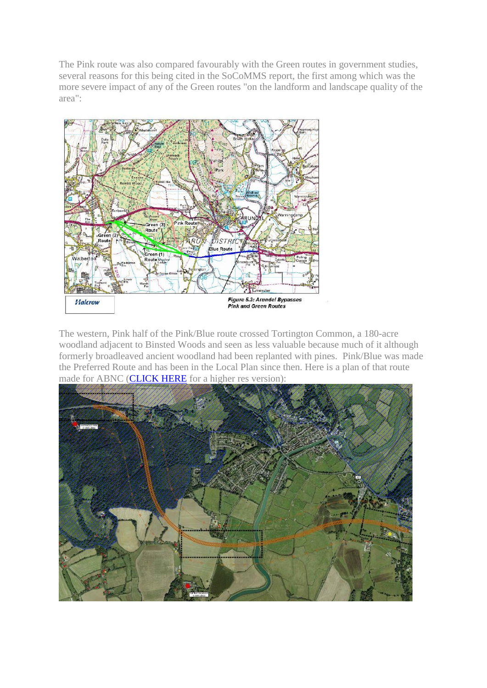The Pink route was also compared favourably with the Green routes in government studies, several reasons for this being cited in the SoCoMMS report, the first among which was the more severe impact of any of the Green routes "on the landform and landscape quality of the area":



The western, Pink half of the Pink/Blue route crossed Tortington Common, a 180-acre woodland adjacent to Binsted Woods and seen as less valuable because much of it although formerly broadleaved ancient woodland had been replanted with pines. Pink/Blue was made the Preferred Route and has been in the Local Plan since then. Here is a plan of that route made for ABNC [\(CLICK HERE](http://arundelneighbourhood.com/uploads/files/a27_plans_option_a_lowres.pdf) for a higher res version):